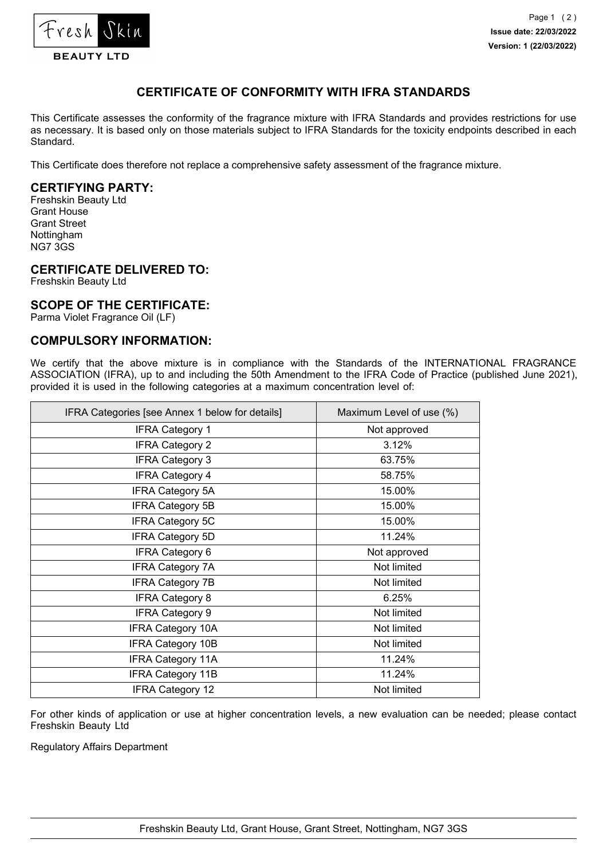

# **CERTIFICATE OF CONFORMITY WITH IFRA STANDARDS**

This Certificate assesses the conformity of the fragrance mixture with IFRA Standards and provides restrictions for use as necessary. It is based only on those materials subject to IFRA Standards for the toxicity endpoints described in each Standard.

This Certificate does therefore not replace a comprehensive safety assessment of the fragrance mixture.

## **CERTIFYING PARTY:**

Freshskin Beauty Ltd Grant House Grant Street Nottingham NG7 3GS

#### **CERTIFICATE DELIVERED TO:**

Freshskin Beauty Ltd

#### **SCOPE OF THE CERTIFICATE:**

Parma Violet Fragrance Oil (LF)

### **COMPULSORY INFORMATION:**

We certify that the above mixture is in compliance with the Standards of the INTERNATIONAL FRAGRANCE ASSOCIATION (IFRA), up to and including the 50th Amendment to the IFRA Code of Practice (published June 2021), provided it is used in the following categories at a maximum concentration level of:

| IFRA Categories [see Annex 1 below for details] | Maximum Level of use (%) |
|-------------------------------------------------|--------------------------|
| <b>IFRA Category 1</b>                          | Not approved             |
| <b>IFRA Category 2</b>                          | 3.12%                    |
| <b>IFRA Category 3</b>                          | 63.75%                   |
| <b>IFRA Category 4</b>                          | 58.75%                   |
| <b>IFRA Category 5A</b>                         | 15.00%                   |
| <b>IFRA Category 5B</b>                         | 15.00%                   |
| <b>IFRA Category 5C</b>                         | 15.00%                   |
| <b>IFRA Category 5D</b>                         | 11.24%                   |
| <b>IFRA Category 6</b>                          | Not approved             |
| <b>IFRA Category 7A</b>                         | Not limited              |
| <b>IFRA Category 7B</b>                         | Not limited              |
| <b>IFRA Category 8</b>                          | 6.25%                    |
| <b>IFRA Category 9</b>                          | Not limited              |
| <b>IFRA Category 10A</b>                        | Not limited              |
| <b>IFRA Category 10B</b>                        | Not limited              |
| <b>IFRA Category 11A</b>                        | 11.24%                   |
| <b>IFRA Category 11B</b>                        | 11.24%                   |
| <b>IFRA Category 12</b>                         | Not limited              |

For other kinds of application or use at higher concentration levels, a new evaluation can be needed; please contact Freshskin Beauty Ltd

Regulatory Affairs Department